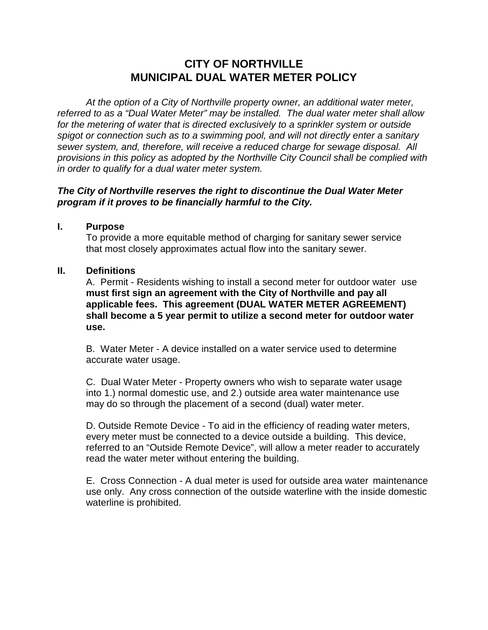# **CITY OF NORTHVILLE MUNICIPAL DUAL WATER METER POLICY**

 *At the option of a City of Northville property owner, an additional water meter, referred to as a "Dual Water Meter" may be installed. The dual water meter shall allow for the metering of water that is directed exclusively to a sprinkler system or outside spigot or connection such as to a swimming pool, and will not directly enter a sanitary sewer system, and, therefore, will receive a reduced charge for sewage disposal. All provisions in this policy as adopted by the Northville City Council shall be complied with in order to qualify for a dual water meter system.* 

## *The City of Northville reserves the right to discontinue the Dual Water Meter program if it proves to be financially harmful to the City.*

#### **I. Purpose**

 To provide a more equitable method of charging for sanitary sewer service that most closely approximates actual flow into the sanitary sewer.

#### **II. Definitions**

A. Permit - Residents wishing to install a second meter for outdoor water use **must first sign an agreement with the City of Northville and pay all applicable fees. This agreement (DUAL WATER METER AGREEMENT) shall become a 5 year permit to utilize a second meter for outdoor water use.** 

 B. Water Meter - A device installed on a water service used to determine accurate water usage.

 C. Dual Water Meter - Property owners who wish to separate water usage into 1.) normal domestic use, and 2.) outside area water maintenance use may do so through the placement of a second (dual) water meter.

D. Outside Remote Device - To aid in the efficiency of reading water meters, every meter must be connected to a device outside a building. This device, referred to an "Outside Remote Device", will allow a meter reader to accurately read the water meter without entering the building.

E. Cross Connection - A dual meter is used for outside area water maintenance use only. Any cross connection of the outside waterline with the inside domestic waterline is prohibited.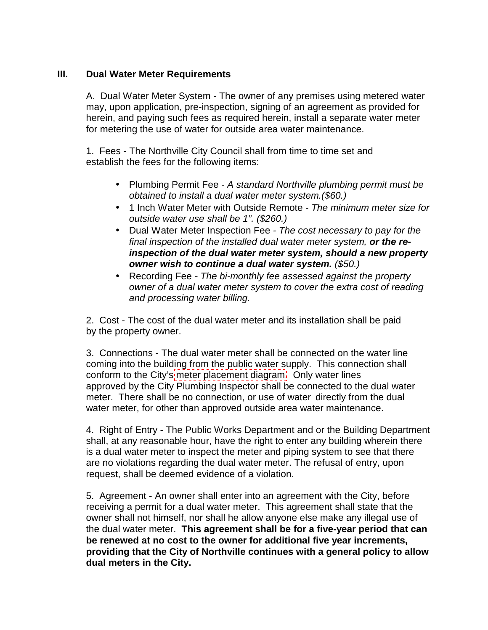## **III. Dual Water Meter Requirements**

A. Dual Water Meter System - The owner of any premises using metered water may, upon application, pre-inspection, signing of an agreement as provided for herein, and paying such fees as required herein, install a separate water meter for metering the use of water for outside area water maintenance.

 1. Fees - The Northville City Council shall from time to time set and establish the fees for the following items:

- Plumbing Permit Fee *A standard Northville plumbing permit must be obtained to install a dual water meter system.(\$60.)*
- 1 Inch Water Meter with Outside Remote *The minimum meter size for outside water use shall be 1". (\$260.)*
- Dual Water Meter Inspection Fee  *The cost necessary to pay for the final inspection of the installed dual water meter system, or the reinspection of the dual water meter system, should a new property owner wish to continue a dual water system. (\$50.)*
- Recording Fee  *The bi-monthly fee assessed against the property owner of a dual water meter system to cover the extra cost of reading and processing water billing.*

 2. Cost - The cost of the dual water meter and its installation shall be paid by the property owner.

3. Connections - The dual water meter shall be connected on the water line coming into the building from the public water supply. This connection shall conform to the City's meter [placement diagram.](http://www.ci.northville.mi.us/ReferenceDesk/Forms/DualWaterMeterAgreement2.pdf#page=5) Only water lines approved by the City Plumbing Inspector shall be connected to the dual water meter. There shall be no connection, or use of water directly from the dual water meter, for other than approved outside area water maintenance.

4. Right of Entry - The Public Works Department and or the Building Department shall, at any reasonable hour, have the right to enter any building wherein there is a dual water meter to inspect the meter and piping system to see that there are no violations regarding the dual water meter. The refusal of entry, upon request, shall be deemed evidence of a violation.

5. Agreement - An owner shall enter into an agreement with the City, before receiving a permit for a dual water meter. This agreement shall state that the owner shall not himself, nor shall he allow anyone else make any illegal use of the dual water meter. **This agreement shall be for a five-year period that can be renewed at no cost to the owner for additional five year increments, providing that the City of Northville continues with a general policy to allow dual meters in the City.**